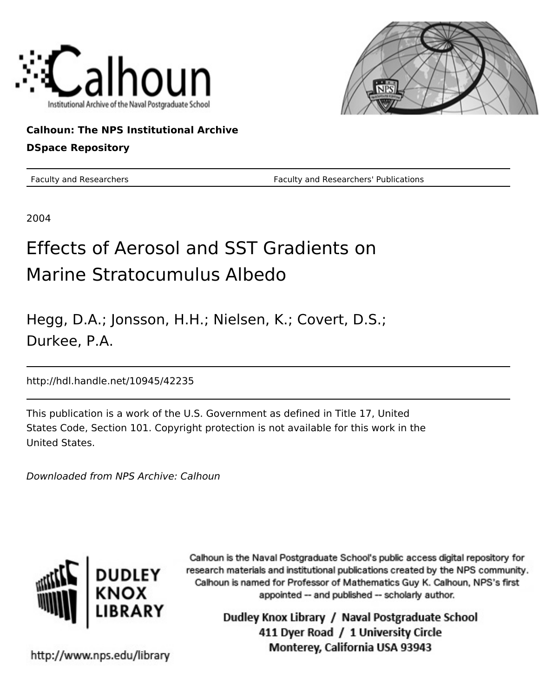



## **Calhoun: The NPS Institutional Archive DSpace Repository**

Faculty and Researchers Faculty and Researchers' Publications

2004

# Effects of Aerosol and SST Gradients on Marine Stratocumulus Albedo

Hegg, D.A.; Jonsson, H.H.; Nielsen, K.; Covert, D.S.; Durkee, P.A.

http://hdl.handle.net/10945/42235

This publication is a work of the U.S. Government as defined in Title 17, United States Code, Section 101. Copyright protection is not available for this work in the United States.

Downloaded from NPS Archive: Calhoun



Calhoun is the Naval Postgraduate School's public access digital repository for research materials and institutional publications created by the NPS community. Calhoun is named for Professor of Mathematics Guy K. Calhoun, NPS's first appointed -- and published -- scholarly author.

> Dudley Knox Library / Naval Postgraduate School 411 Dyer Road / 1 University Circle Monterey, California USA 93943

http://www.nps.edu/library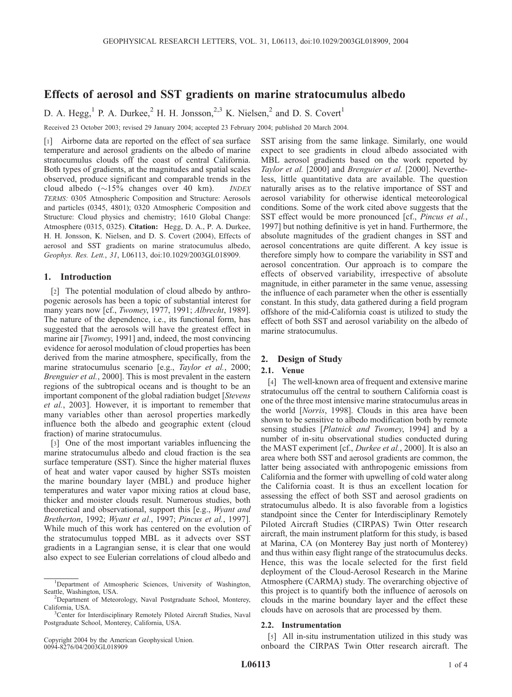### Effects of aerosol and SST gradients on marine stratocumulus albedo

D. A. Hegg,<sup>1</sup> P. A. Durkee,<sup>2</sup> H. H. Jonsson,<sup>2,3</sup> K. Nielsen,<sup>2</sup> and D. S. Covert<sup>1</sup>

Received 23 October 2003; revised 29 January 2004; accepted 23 February 2004; published 20 March 2004.

[1] Airborne data are reported on the effect of sea surface temperature and aerosol gradients on the albedo of marine stratocumulus clouds off the coast of central California. Both types of gradients, at the magnitudes and spatial scales observed, produce significant and comparable trends in the cloud albedo  $(\sim 15\%$  changes over 40 km). INDEX TERMS: 0305 Atmospheric Composition and Structure: Aerosols and particles (0345, 4801); 0320 Atmospheric Composition and Structure: Cloud physics and chemistry; 1610 Global Change: Atmosphere (0315, 0325). Citation: Hegg, D. A., P. A. Durkee, H. H. Jonsson, K. Nielsen, and D. S. Covert (2004), Effects of aerosol and SST gradients on marine stratocumulus albedo, Geophys. Res. Lett., 31, L06113, doi:10.1029/2003GL018909.

#### 1. Introduction

[2] The potential modulation of cloud albedo by anthropogenic aerosols has been a topic of substantial interest for many years now [cf., Twomey, 1977, 1991; Albrecht, 1989]. The nature of the dependence, i.e., its functional form, has suggested that the aerosols will have the greatest effect in marine air [*Twomey*, 1991] and, indeed, the most convincing evidence for aerosol modulation of cloud properties has been derived from the marine atmosphere, specifically, from the marine stratocumulus scenario [e.g., Taylor et al., 2000; Brenguier et al., 2000]. This is most prevalent in the eastern regions of the subtropical oceans and is thought to be an important component of the global radiation budget [Stevens et al., 2003]. However, it is important to remember that many variables other than aerosol properties markedly influence both the albedo and geographic extent (cloud fraction) of marine stratocumulus.

[3] One of the most important variables influencing the marine stratocumulus albedo and cloud fraction is the sea surface temperature (SST). Since the higher material fluxes of heat and water vapor caused by higher SSTs moisten the marine boundary layer (MBL) and produce higher temperatures and water vapor mixing ratios at cloud base, thicker and moister clouds result. Numerous studies, both theoretical and observational, support this [e.g., Wyant and Bretherton, 1992; Wyant et al., 1997; Pincus et al., 1997]. While much of this work has centered on the evolution of the stratocumulus topped MBL as it advects over SST gradients in a Lagrangian sense, it is clear that one would also expect to see Eulerian correlations of cloud albedo and

Copyright 2004 by the American Geophysical Union. 0094-8276/04/2003GL018909

SST arising from the same linkage. Similarly, one would expect to see gradients in cloud albedo associated with MBL aerosol gradients based on the work reported by Taylor et al. [2000] and Brenguier et al. [2000]. Nevertheless, little quantitative data are available. The question naturally arises as to the relative importance of SST and aerosol variability for otherwise identical meteorological conditions. Some of the work cited above suggests that the SST effect would be more pronounced [cf., Pincus et al., 1997] but nothing definitive is yet in hand. Furthermore, the absolute magnitudes of the gradient changes in SST and aerosol concentrations are quite different. A key issue is therefore simply how to compare the variability in SST and aerosol concentration. Our approach is to compare the effects of observed variability, irrespective of absolute magnitude, in either parameter in the same venue, assessing the influence of each parameter when the other is essentially constant. In this study, data gathered during a field program offshore of the mid-California coast is utilized to study the effectt of both SST and aerosol variability on the albedo of marine stratocumulus.

#### 2. Design of Study

#### 2.1. Venue

[4] The well-known area of frequent and extensive marine stratocumulus off the central to southern California coast is one of the three most intensive marine stratocumulus areas in the world [Norris, 1998]. Clouds in this area have been shown to be sensitive to albedo modification both by remote sensing studies [Platnick and Twomey, 1994] and by a number of in-situ observational studies conducted during the MAST experiment [cf., *Durkee et al.*, 2000]. It is also an area where both SST and aerosol gradients are common, the latter being associated with anthropogenic emissions from California and the former with upwelling of cold water along the California coast. It is thus an excellent location for assessing the effect of both SST and aerosol gradients on stratocumulus albedo. It is also favorable from a logistics standpoint since the Center for Interdisciplinary Remotely Piloted Aircraft Studies (CIRPAS) Twin Otter research aircraft, the main instrument platform for this study, is based at Marina, CA (on Monterey Bay just north of Monterey) and thus within easy flight range of the stratocumulus decks. Hence, this was the locale selected for the first field deployment of the Cloud-Aerosol Research in the Marine Atmosphere (CARMA) study. The overarching objective of this project is to quantify both the influence of aerosols on clouds in the marine boundary layer and the effect these clouds have on aerosols that are processed by them.

#### 2.2. Instrumentation

[5] All in-situ instrumentation utilized in this study was onboard the CIRPAS Twin Otter research aircraft. The

<sup>&</sup>lt;sup>1</sup>Department of Atmospheric Sciences, University of Washington, Seattle, Washington, USA. <sup>2</sup>

 $^{2}$ Department of Meteorology, Naval Postgraduate School, Monterey, California, USA.

<sup>&</sup>lt;sup>3</sup>Center for Interdisciplinary Remotely Piloted Aircraft Studies, Naval Postgraduate School, Monterey, California, USA.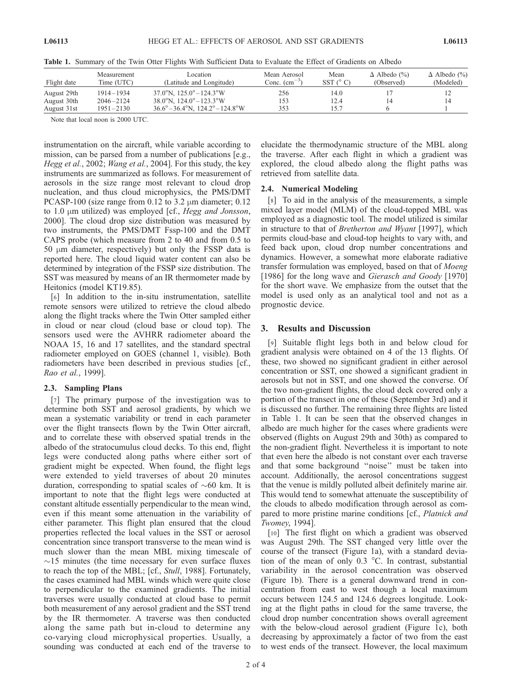| Flight date | Measurement<br>Time (UTC) | Location<br>(Latitude and Longitude)                | Mean Aerosol<br>Conc. $\text{cm}^{-3}$ | Mean<br>SST $(^{\circ}$ C) | $\Delta$ Albedo (%)<br>(Observed) | $\Delta$ Albedo (%)<br>(Modeled) |
|-------------|---------------------------|-----------------------------------------------------|----------------------------------------|----------------------------|-----------------------------------|----------------------------------|
| August 29th | 1914 – 1934               | $37.0^{\circ}$ N, $125.0^{\circ} - 124.3^{\circ}$ W | 256                                    | 14.0                       |                                   |                                  |
| August 30th | $2046 - 2124$             | $38.0^{\circ}$ N, $124.0^{\circ} - 123.3^{\circ}$ W | 153                                    | 12.4                       |                                   |                                  |
| August 31st | $1951 - 2130$             | $36.6^{\circ} - 36.4^{\circ}$ N, 124.2° – 124.8°W   | 353                                    | 15.7                       |                                   |                                  |

Table 1. Summary of the Twin Otter Flights With Sufficient Data to Evaluate the Effect of Gradients on Albedo

Note that local noon is 2000 UTC.

instrumentation on the aircraft, while variable according to mission, can be parsed from a number of publications [e.g., Hegg et al., 2002; Wang et al., 2004]. For this study, the key instruments are summarized as follows. For measurement of aerosols in the size range most relevant to cloud drop nucleation, and thus cloud microphysics, the PMS/DMT PCASP-100 (size range from 0.12 to 3.2  $\mu$ m diameter; 0.12 to 1.0  $\mu$ m utilized) was employed [cf., *Hegg and Jonsson*, 2000]. The cloud drop size distribution was measured by two instruments, the PMS/DMT Fssp-100 and the DMT CAPS probe (which measure from 2 to 40 and from 0.5 to 50  $\mu$ m diameter, respectively) but only the FSSP data is reported here. The cloud liquid water content can also be determined by integration of the FSSP size distribution. The SST was measured by means of an IR thermometer made by Heitonics (model KT19.85).

[6] In addition to the in-situ instrumentation, satellite remote sensors were utilized to retrieve the cloud albedo along the flight tracks where the Twin Otter sampled either in cloud or near cloud (cloud base or cloud top). The sensors used were the AVHRR radiometer aboard the NOAA 15, 16 and 17 satellites, and the standard spectral radiometer employed on GOES (channel 1, visible). Both radiometers have been described in previous studies [cf., Rao et al., 1999].

#### 2.3. Sampling Plans

[7] The primary purpose of the investigation was to determine both SST and aerosol gradients, by which we mean a systematic variability or trend in each parameter over the flight transects flown by the Twin Otter aircraft, and to correlate these with observed spatial trends in the albedo of the stratocumulus cloud decks. To this end, flight legs were conducted along paths where either sort of gradient might be expected. When found, the flight legs were extended to yield traverses of about 20 minutes duration, corresponding to spatial scales of  $\sim 60$  km. It is important to note that the flight legs were conducted at constant altitude essentially perpendicular to the mean wind, even if this meant some attenuation in the variability of either parameter. This flight plan ensured that the cloud properties reflected the local values in the SST or aerosol concentration since transport transverse to the mean wind is much slower than the mean MBL mixing timescale of  $\sim$ 15 minutes (the time necessary for even surface fluxes to reach the top of the MBL; [cf., Stull, 1988]. Fortunately, the cases examined had MBL winds which were quite close to perpendicular to the examined gradients. The initial traverses were usually conducted at cloud base to permit both measurement of any aerosol gradient and the SST trend by the IR thermometer. A traverse was then conducted along the same path but in-cloud to determine any co-varying cloud microphysical properties. Usually, a sounding was conducted at each end of the traverse to

elucidate the thermodynamic structure of the MBL along the traverse. After each flight in which a gradient was explored, the cloud albedo along the flight paths was retrieved from satellite data.

#### 2.4. Numerical Modeling

[8] To aid in the analysis of the measurements, a simple mixed layer model (MLM) of the cloud-topped MBL was employed as a diagnostic tool. The model utilized is similar in structure to that of Bretherton and Wyant [1997], which permits cloud-base and cloud-top heights to vary with, and feed back upon, cloud drop number concentrations and dynamics. However, a somewhat more elaborate radiative transfer formulation was employed, based on that of Moeng [1986] for the long wave and *Gierasch and Goody* [1970] for the short wave. We emphasize from the outset that the model is used only as an analytical tool and not as a prognostic device.

#### 3. Results and Discussion

[9] Suitable flight legs both in and below cloud for gradient analysis were obtained on 4 of the 13 flights. Of these, two showed no significant gradient in either aerosol concentration or SST, one showed a significant gradient in aerosols but not in SST, and one showed the converse. Of the two non-gradient flights, the cloud deck covered only a portion of the transect in one of these (September 3rd) and it is discussed no further. The remaining three flights are listed in Table 1. It can be seen that the observed changes in albedo are much higher for the cases where gradients were observed (flights on August 29th and 30th) as compared to the non-gradient flight. Nevertheless it is important to note that even here the albedo is not constant over each traverse and that some background ''noise'' must be taken into account. Additionally, the aerosol concentrations suggest that the venue is mildly polluted albeit definitely marine air. This would tend to somewhat attenuate the susceptibility of the clouds to albedo modification through aerosol as compared to more pristine marine conditions [cf., Platnick and Twomey, 1994].

[10] The first flight on which a gradient was observed was August 29th. The SST changed very little over the course of the transect (Figure 1a), with a standard deviation of the mean of only  $0.3 \text{ °C}$ . In contrast, substantial variability in the aerosol concentration was observed (Figure 1b). There is a general downward trend in concentration from east to west though a local maximum occurs between 124.5 and 124.6 degrees longitude. Looking at the flight paths in cloud for the same traverse, the cloud drop number concentration shows overall agreement with the below-cloud aerosol gradient (Figure 1c), both decreasing by approximately a factor of two from the east to west ends of the transect. However, the local maximum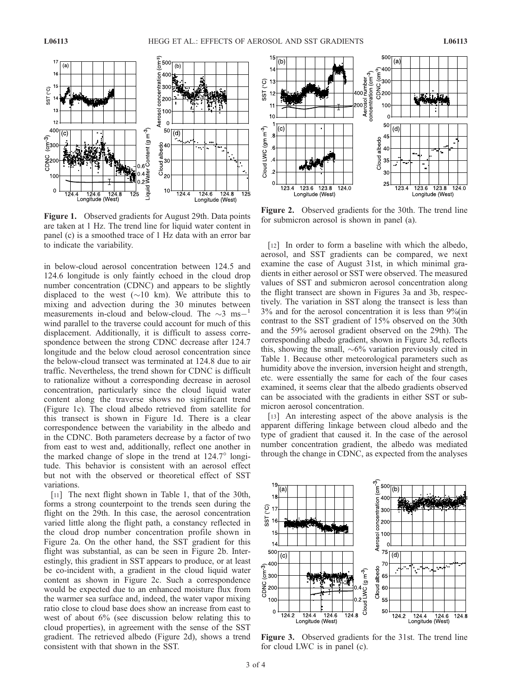

Figure 1. Observed gradients for August 29th. Data points are taken at 1 Hz. The trend line for liquid water content in panel (c) is a smoothed trace of 1 Hz data with an error bar to indicate the variability.

in below-cloud aerosol concentration between 124.5 and 124.6 longitude is only faintly echoed in the cloud drop number concentration (CDNC) and appears to be slightly displaced to the west  $(\sim 10 \text{ km})$ . We attribute this to mixing and advection during the 30 minutes between measurements in-cloud and below-cloud. The  $\sim$ 3 ms $^{-1}$ wind parallel to the traverse could account for much of this displacement. Additionally, it is difficult to assess correspondence between the strong CDNC decrease after 124.7 longitude and the below cloud aerosol concentration since the below-cloud transect was terminated at 124.8 due to air traffic. Nevertheless, the trend shown for CDNC is difficult to rationalize without a corresponding decrease in aerosol concentration, particularly since the cloud liquid water content along the traverse shows no significant trend (Figure 1c). The cloud albedo retrieved from satellite for this transect is shown in Figure 1d. There is a clear correspondence between the variability in the albedo and in the CDNC. Both parameters decrease by a factor of two from east to west and, additionally, reflect one another in the marked change of slope in the trend at  $124.7^\circ$  longitude. This behavior is consistent with an aerosol effect but not with the observed or theoretical effect of SST variations.

[11] The next flight shown in Table 1, that of the 30th, forms a strong counterpoint to the trends seen during the flight on the 29th. In this case, the aerosol concentration varied little along the flight path, a constancy reflected in the cloud drop number concentration profile shown in Figure 2a. On the other hand, the SST gradient for this flight was substantial, as can be seen in Figure 2b. Interestingly, this gradient in SST appears to produce, or at least be co-incident with, a gradient in the cloud liquid water content as shown in Figure 2c. Such a correspondence would be expected due to an enhanced moisture flux from the warmer sea surface and, indeed, the water vapor mixing ratio close to cloud base does show an increase from east to west of about 6% (see discussion below relating this to cloud properties), in agreement with the sense of the SST gradient. The retrieved albedo (Figure 2d), shows a trend consistent with that shown in the SST.



Figure 2. Observed gradients for the 30th. The trend line for submicron aerosol is shown in panel (a).

[12] In order to form a baseline with which the albedo, aerosol, and SST gradients can be compared, we next examine the case of August 31st, in which minimal gradients in either aerosol or SST were observed. The measured values of SST and submicron aerosol concentration along the flight transect are shown in Figures 3a and 3b, respectively. The variation in SST along the transect is less than 3% and for the aerosol concentration it is less than 9%(in contrast to the SST gradient of 15% observed on the 30th and the 59% aerosol gradient observed on the 29th). The corresponding albedo gradient, shown in Figure 3d, reflects this, showing the small,  $\sim 6\%$  variation previously cited in Table 1. Because other meteorological parameters such as humidity above the inversion, inversion height and strength, etc. were essentially the same for each of the four cases examined, it seems clear that the albedo gradients observed can be associated with the gradients in either SST or submicron aerosol concentration.

[13] An interesting aspect of the above analysis is the apparent differing linkage between cloud albedo and the type of gradient that caused it. In the case of the aerosol number concentration gradient, the albedo was mediated through the change in CDNC, as expected from the analyses



Figure 3. Observed gradients for the 31st. The trend line for cloud LWC is in panel (c).